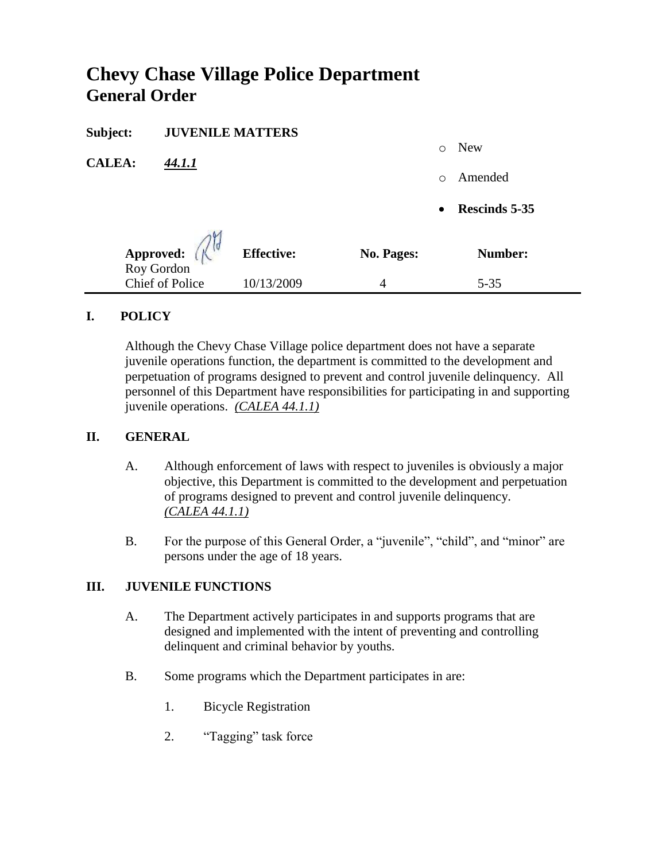# **Chevy Chase Village Police Department General Order**

| Subject:                | <b>JUVENILE MATTERS</b> |                   |                   |           |               |
|-------------------------|-------------------------|-------------------|-------------------|-----------|---------------|
|                         |                         |                   |                   | $\circ$   | <b>New</b>    |
| <b>CALEA:</b><br>44.1.1 |                         |                   | $\circ$           | Amended   |               |
|                         |                         |                   |                   | $\bullet$ | Rescinds 5-35 |
|                         | Approved: (             | <b>Effective:</b> | <b>No. Pages:</b> |           | Number:       |
|                         | <b>Chief of Police</b>  | 10/13/2009        | 4                 |           | $5 - 35$      |

# **I. POLICY**

Although the Chevy Chase Village police department does not have a separate juvenile operations function, the department is committed to the development and perpetuation of programs designed to prevent and control juvenile delinquency. All personnel of this Department have responsibilities for participating in and supporting juvenile operations. *(CALEA 44.1.1)*

# **II. GENERAL**

- A. Although enforcement of laws with respect to juveniles is obviously a major objective, this Department is committed to the development and perpetuation of programs designed to prevent and control juvenile delinquency. *(CALEA 44.1.1)*
- B. For the purpose of this General Order, a "juvenile", "child", and "minor" are persons under the age of 18 years.

# **III. JUVENILE FUNCTIONS**

- A. The Department actively participates in and supports programs that are designed and implemented with the intent of preventing and controlling delinquent and criminal behavior by youths.
- B. Some programs which the Department participates in are:
	- 1. Bicycle Registration
	- 2. "Tagging" task force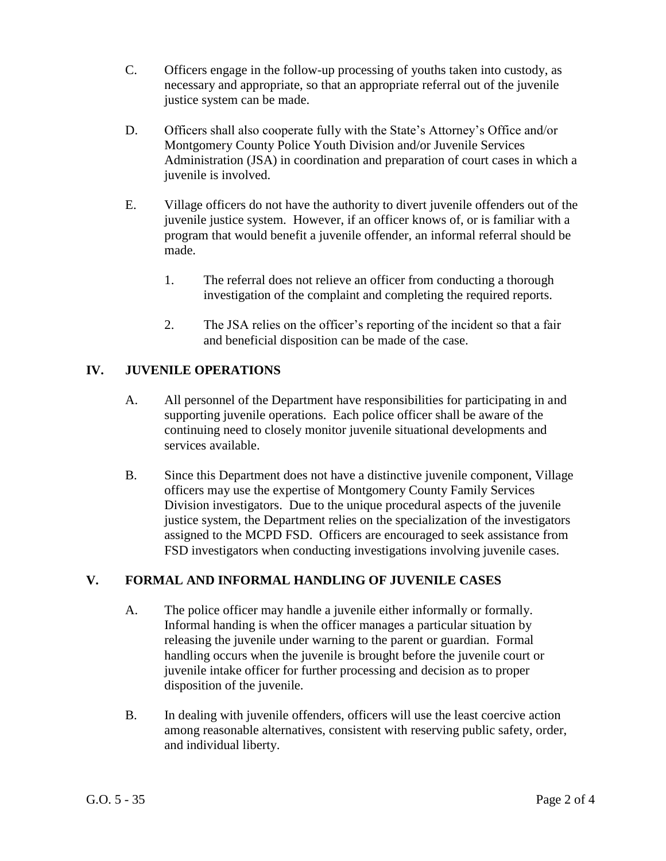- C. Officers engage in the follow-up processing of youths taken into custody, as necessary and appropriate, so that an appropriate referral out of the juvenile justice system can be made.
- D. Officers shall also cooperate fully with the State's Attorney's Office and/or Montgomery County Police Youth Division and/or Juvenile Services Administration (JSA) in coordination and preparation of court cases in which a juvenile is involved.
- E. Village officers do not have the authority to divert juvenile offenders out of the juvenile justice system. However, if an officer knows of, or is familiar with a program that would benefit a juvenile offender, an informal referral should be made.
	- 1. The referral does not relieve an officer from conducting a thorough investigation of the complaint and completing the required reports.
	- 2. The JSA relies on the officer's reporting of the incident so that a fair and beneficial disposition can be made of the case.

# **IV. JUVENILE OPERATIONS**

- A. All personnel of the Department have responsibilities for participating in and supporting juvenile operations. Each police officer shall be aware of the continuing need to closely monitor juvenile situational developments and services available.
- B. Since this Department does not have a distinctive juvenile component, Village officers may use the expertise of Montgomery County Family Services Division investigators. Due to the unique procedural aspects of the juvenile justice system, the Department relies on the specialization of the investigators assigned to the MCPD FSD. Officers are encouraged to seek assistance from FSD investigators when conducting investigations involving juvenile cases.

# **V. FORMAL AND INFORMAL HANDLING OF JUVENILE CASES**

- A. The police officer may handle a juvenile either informally or formally. Informal handing is when the officer manages a particular situation by releasing the juvenile under warning to the parent or guardian. Formal handling occurs when the juvenile is brought before the juvenile court or juvenile intake officer for further processing and decision as to proper disposition of the juvenile.
- B. In dealing with juvenile offenders, officers will use the least coercive action among reasonable alternatives, consistent with reserving public safety, order, and individual liberty.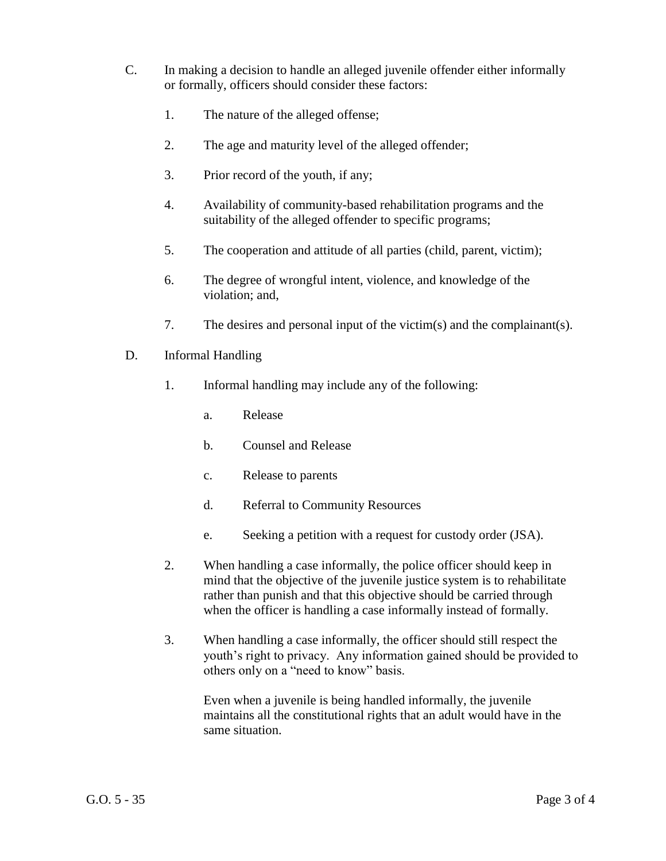- C. In making a decision to handle an alleged juvenile offender either informally or formally, officers should consider these factors:
	- 1. The nature of the alleged offense;
	- 2. The age and maturity level of the alleged offender;
	- 3. Prior record of the youth, if any;
	- 4. Availability of community-based rehabilitation programs and the suitability of the alleged offender to specific programs;
	- 5. The cooperation and attitude of all parties (child, parent, victim);
	- 6. The degree of wrongful intent, violence, and knowledge of the violation; and,
	- 7. The desires and personal input of the victim(s) and the complainant(s).
- D. Informal Handling
	- 1. Informal handling may include any of the following:
		- a. Release
		- b. Counsel and Release
		- c. Release to parents
		- d. Referral to Community Resources
		- e. Seeking a petition with a request for custody order (JSA).
	- 2. When handling a case informally, the police officer should keep in mind that the objective of the juvenile justice system is to rehabilitate rather than punish and that this objective should be carried through when the officer is handling a case informally instead of formally.
	- 3. When handling a case informally, the officer should still respect the youth's right to privacy. Any information gained should be provided to others only on a "need to know" basis.

Even when a juvenile is being handled informally, the juvenile maintains all the constitutional rights that an adult would have in the same situation.